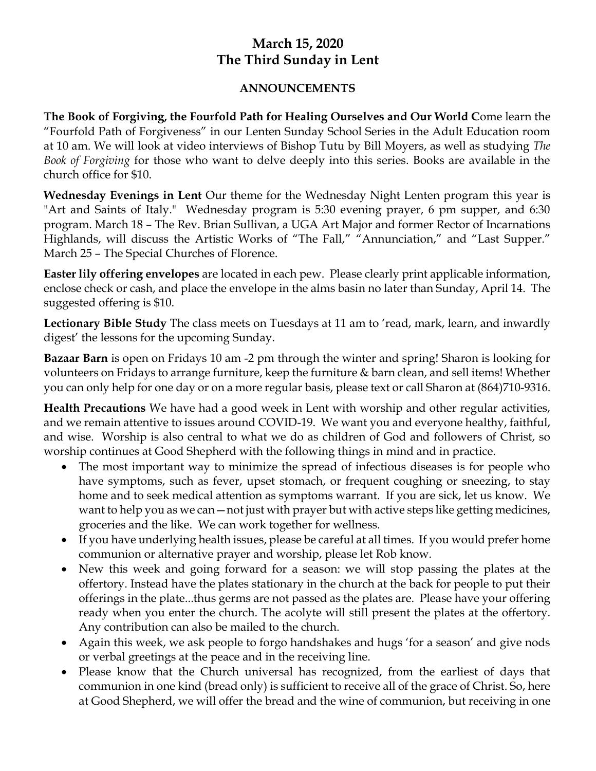## **March 15, 2020 The Third Sunday in Lent**

## **ANNOUNCEMENTS**

**The Book of Forgiving, the Fourfold Path for Healing Ourselves and Our World C**ome learn the "Fourfold Path of Forgiveness" in our Lenten Sunday School Series in the Adult Education room at 10 am. We will look at video interviews of Bishop Tutu by Bill Moyers, as well as studying *The Book of Forgiving* for those who want to delve deeply into this series. Books are available in the church office for \$10.

**Wednesday Evenings in Lent** Our theme for the Wednesday Night Lenten program this year is "Art and Saints of Italy." Wednesday program is 5:30 evening prayer, 6 pm supper, and 6:30 program. March 18 – The Rev. Brian Sullivan, a UGA Art Major and former Rector of Incarnations Highlands, will discuss the Artistic Works of "The Fall," "Annunciation," and "Last Supper." March 25 – The Special Churches of Florence.

**Easter lily offering envelopes** are located in each pew. Please clearly print applicable information, enclose check or cash, and place the envelope in the alms basin no later than Sunday, April 14. The suggested offering is \$10.

**Lectionary Bible Study** The class meets on Tuesdays at 11 am to 'read, mark, learn, and inwardly digest' the lessons for the upcoming Sunday.

**Bazaar Barn** is open on Fridays 10 am -2 pm through the winter and spring! Sharon is looking for volunteers on Fridays to arrange furniture, keep the furniture & barn clean, and sell items! Whether you can only help for one day or on a more regular basis, please text or call Sharon at (864)710-9316.

**Health Precautions** We have had a good week in Lent with worship and other regular activities, and we remain attentive to issues around COVID-19. We want you and everyone healthy, faithful, and wise. Worship is also central to what we do as children of God and followers of Christ, so worship continues at Good Shepherd with the following things in mind and in practice.

- The most important way to minimize the spread of infectious diseases is for people who have symptoms, such as fever, upset stomach, or frequent coughing or sneezing, to stay home and to seek medical attention as symptoms warrant. If you are sick, let us know. We want to help you as we can—not just with prayer but with active steps like getting medicines, groceries and the like. We can work together for wellness.
- If you have underlying health issues, please be careful at all times. If you would prefer home communion or alternative prayer and worship, please let Rob know.
- New this week and going forward for a season: we will stop passing the plates at the offertory. Instead have the plates stationary in the church at the back for people to put their offerings in the plate...thus germs are not passed as the plates are. Please have your offering ready when you enter the church. The acolyte will still present the plates at the offertory. Any contribution can also be mailed to the church.
- Again this week, we ask people to forgo handshakes and hugs 'for a season' and give nods or verbal greetings at the peace and in the receiving line.
- Please know that the Church universal has recognized, from the earliest of days that communion in one kind (bread only) is sufficient to receive all of the grace of Christ. So, here at Good Shepherd, we will offer the bread and the wine of communion, but receiving in one